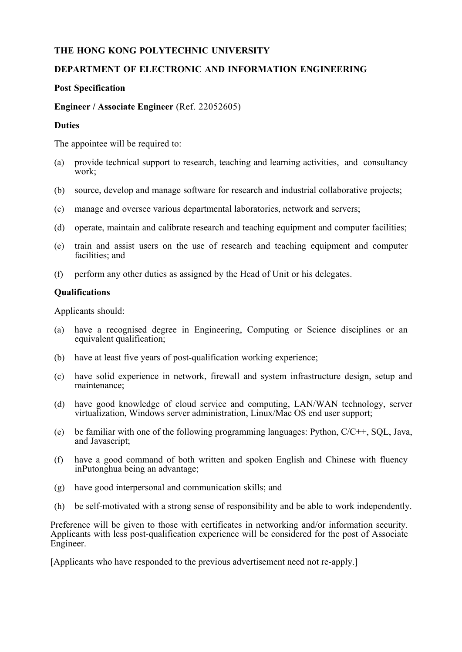# **THE HONG KONG POLYTECHNIC UNIVERSITY**

## **DEPARTMENT OF ELECTRONIC AND INFORMATION ENGINEERING**

### **Post Specification**

#### **Engineer / Associate Engineer** (Ref. 22052605)

#### **Duties**

The appointee will be required to:

- (a) provide technical support to research, teaching and learning activities, and consultancy work;
- (b) source, develop and manage software for research and industrial collaborative projects;
- (c) manage and oversee various departmental laboratories, network and servers;
- (d) operate, maintain and calibrate research and teaching equipment and computer facilities;
- (e) train and assist users on the use of research and teaching equipment and computer facilities; and
- (f) perform any other duties as assigned by the Head of Unit or his delegates.

#### **Qualifications**

Applicants should:

- (a) have a recognised degree in Engineering, Computing or Science disciplines or an equivalent qualification;
- (b) have at least five years of post-qualification working experience;
- (c) have solid experience in network, firewall and system infrastructure design, setup and maintenance;
- (d) have good knowledge of cloud service and computing, LAN/WAN technology, server virtualization, Windows server administration, Linux/Mac OS end user support;
- (e) be familiar with one of the following programming languages: Python,  $C/C++$ , SOL, Java, and Javascript;
- (f) have a good command of both written and spoken English and Chinese with fluency in Putonghua being an advantage;
- (g) have good interpersonal and communication skills; and
- (h) be self-motivated with a strong sense of responsibility and be able to work independently.

Preference will be given to those with certificates in networking and/or information security. Applicants with less post-qualification experience will be considered for the post of Associate Engineer.

[Applicants who have responded to the previous advertisement need not re-apply.]